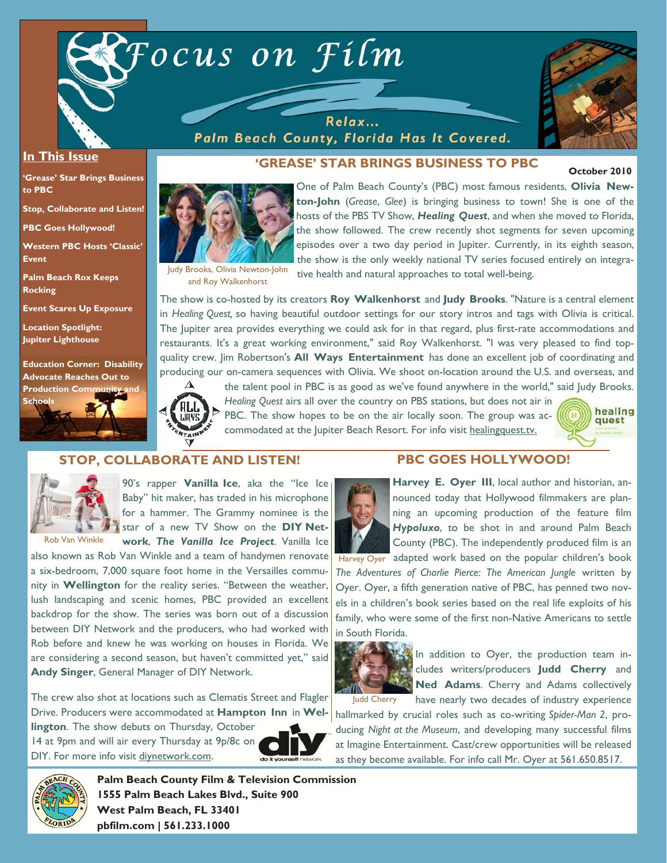

Relax... Palm Beach County, Florida Has It Covered.



#### **In This Issue**

**'Grease' Star Brings Business to PBC** 

**Stop, Collaborate and Listen!** 

**PBC Goes Hollywood!** 

**Western PBC Hosts 'Classic' Event** 

**Palm Beach Rox Keeps Rocking** 

**Event Scares Up Exposure** 

**Location Spotlight: Jupiter Lighthouse** 

**Education Corner: Disability Advocate Reaches Out to Production Community** 





**'GREASE' STAR BRINGS BUSINESS TO PBC** 

**October 2010** 



One of Palm Beach County's (PBC) most famous residents, **Olivia Newton-John** (*Grease*, *Glee*) is bringing business to town! She is one of the hosts of the PBS TV Show, *Healing Quest*, and when she moved to Florida, the show followed. The crew recently shot segments for seven upcoming episodes over a two day period in Jupiter. Currently, in its eighth season, the show is the only weekly national TV series focused entirely on integrative health and natural approaches to total well-being.

Judy Brooks, Olivia Newton-John

The show is co-hosted by its creators **Roy Walkenhorst** and **Judy Brooks**. "Nature is a central element in *Healing Quest,* so having beautiful outdoor settings for our story intros and tags with Olivia is critical. The Jupiter area provides everything we could ask for in that regard, plus first-rate accommodations and restaurants. It's a great working environment," said Roy Walkenhorst. "I was very pleased to find topquality crew. Jim Robertson's **All Ways Entertainment** has done an excellent job of coordinating and producing our on-camera sequences with Olivia. We shoot on-location around the U.S. and overseas, and



the talent pool in PBC is as good as we've found anywhere in the world," said Judy Brooks. *Healing Quest* airs all over the country on PBS stations, but does not air in PBC. The show hopes to be on the air locally soon. The group was accommodated at the Jupiter Beach Resort. For info visit healingquest.tv.



#### **STOP, COLLABORATE AND LISTEN!**



90's rapper **Vanilla Ice**, aka the "Ice Ice Baby" hit maker, has traded in his microphone for a hammer. The Grammy nominee is the star of a new TV Show on the **DIY Network**, *The Vanilla Ice Project*. Vanilla Ice

also known as Rob Van Winkle and a team of handymen renovate a six-bedroom, 7,000 square foot home in the Versailles community in **Wellington** for the reality series. "Between the weather, lush landscaping and scenic homes, PBC provided an excellent backdrop for the show. The series was born out of a discussion between DIY Network and the producers, who had worked with Rob before and knew he was working on houses in Florida. We are considering a second season, but haven't committed yet," said **Andy Singer**, General Manager of DIY Network.

The crew also shot at locations such as Clematis Street and Flagler Drive. Producers were accommodated at **Hampton Inn** in **Wel-**

**lington**. The show debuts on Thursday, October 14 at 9pm and will air every Thursday at 9p/8c on DIY. For more info visit diynetwork.com.



### **PBC GOES HOLLYWOOD!**



**Harvey E. Oyer III**, local author and historian, announced today that Hollywood filmmakers are planning an upcoming production of the feature film *Hypoluxo*, to be shot in and around Palm Beach County (PBC). The independently produced film is an

Harvey Oyer adapted work based on the popular children's book *The Adventures of Charlie Pierce: The American Jungle* written by Oyer. Oyer, a fifth generation native of PBC, has penned two novels in a children's book series based on the real life exploits of his family, who were some of the first non-Native Americans to settle in South Florida.



In addition to Oyer, the production team includes writers/producers **Judd Cherry** and **Ned Adams**. Cherry and Adams collectively have nearly two decades of industry experience

hallmarked by crucial roles such as co-writing *Spider-Man 2*, producing *Night at the Museum*, and developing many successful films at Imagine Entertainment. Cast/crew opportunities will be released as they become available. For info call Mr. Oyer at 561.650.8517.



**Palm Beach County Film & Television Commission 1555 Palm Beach Lakes Blvd., Suite 900 West Palm Beach, FL 33401 pbfilm.com | 561.233.1000**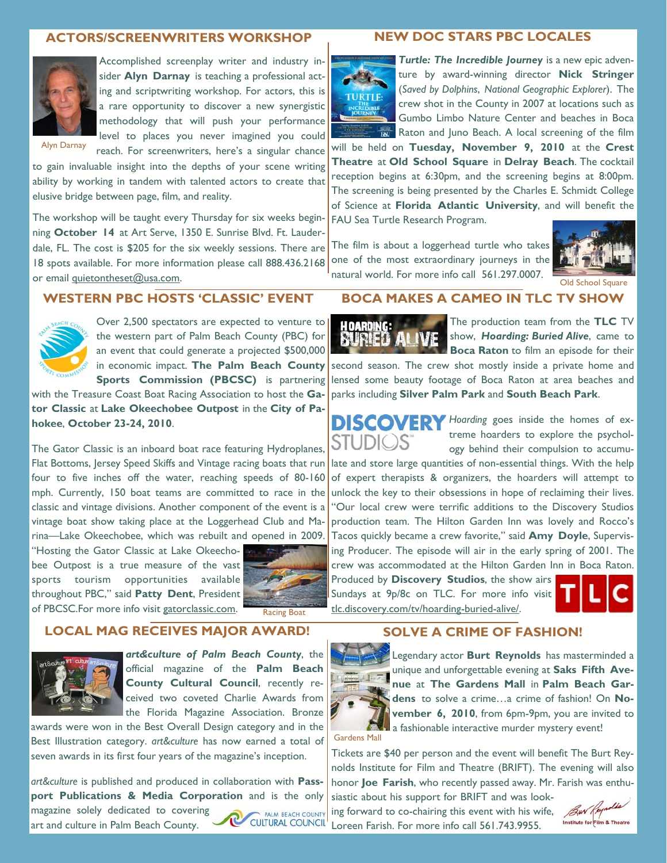#### **ACTORS/SCREENWRITERS WORKSHOP**



Accomplished screenplay writer and industry insider **Alyn Darnay** is teaching a professional acting and scriptwriting workshop. For actors, this is a rare opportunity to discover a new synergistic methodology that will push your performance level to places you never imagined you could

Alyn Darnay

reach. For screenwriters, here's a singular chance to gain invaluable insight into the depths of your scene writing ability by working in tandem with talented actors to create that elusive bridge between page, film, and reality.

The workshop will be taught every Thursday for six weeks beginning **October 14** at Art Serve, 1350 E. Sunrise Blvd. Ft. Lauderdale, FL. The cost is \$205 for the six weekly sessions. There are 18 spots available. For more information please call 888.436.2168 or email quietontheset@usa.com.

## **WESTERN PBC HOSTS 'CLASSIC' EVENT**



Over 2,500 spectators are expected to venture to the western part of Palm Beach County (PBC) for an event that could generate a projected \$500,000 in economic impact. **The Palm Beach County Sports Commission (PBCSC)** is partnering

with the Treasure Coast Boat Racing Association to host the **Gator Classic** at **Lake Okeechobee Outpost** in the **City of Pahokee**, **October 23-24, 2010**.

The Gator Classic is an inboard boat race featuring Hydroplanes, Flat Bottoms, Jersey Speed Skiffs and Vintage racing boats that run four to five inches off the water, reaching speeds of 80-160 mph. Currently, 150 boat teams are committed to race in the classic and vintage divisions. Another component of the event is a vintage boat show taking place at the Loggerhead Club and Marina—Lake Okeechobee, which was rebuilt and opened in 2009.

"Hosting the Gator Classic at Lake Okeechobee Outpost is a true measure of the vast sports tourism opportunities available throughout PBC," said **Patty Dent**, President of PBCSC.For more info visit gatorclassic.com. Racing Boat



**LOCAL MAG RECEIVES MAJOR AWARD!** 



*art&culture of Palm Beach County*, the official magazine of the **Palm Beach County Cultural Council**, recently received two coveted Charlie Awards from the Florida Magazine Association. Bronze

awards were won in the Best Overall Design category and in the Best Illustration category. *art&culture* has now earned a total of seven awards in its first four years of the magazine's inception.

*art&culture* is published and produced in collaboration with **Passport Publications & Media Corporation** and is the only magazine solely dedicated to covering PALM BEACH COUNTY CULTURAL COUNCIL art and culture in Palm Beach County.

#### **NEW DOC STARS PBC LOCALES**



*Turtle: The Incredible Journey* is a new epic adventure by award-winning director **Nick Stringer**  (*Saved by Dolphins*, *National Geographic Explorer*). The crew shot in the County in 2007 at locations such as Gumbo Limbo Nature Center and beaches in Boca Raton and Juno Beach. A local screening of the film

will be held on **Tuesday, November 9, 2010** at the **Crest Theatre** at **Old School Square** in **Delray Beach**. The cocktail reception begins at 6:30pm, and the screening begins at 8:00pm. The screening is being presented by the Charles E. Schmidt College of Science at **Florida Atlantic University**, and will benefit the FAU Sea Turtle Research Program.

The film is about a loggerhead turtle who takes one of the most extraordinary journeys in the natural world. For more info call 561.297.0007.



Old School Square

#### **BOCA MAKES A CAMEO IN TLC TV SHOW**



The production team from the **TLC** TV show, *Hoarding: Buried Alive*, came to **Boca Raton** to film an episode for their

second season. The crew shot mostly inside a private home and lensed some beauty footage of Boca Raton at area beaches and parks including **Silver Palm Park** and **South Beach Park**.

**DISCOVERY** Hoarding goes inside the homes of extreme hoarders to explore the psychology behind their compulsion to accumu-

late and store large quantities of non-essential things. With the help of expert therapists & organizers, the hoarders will attempt to unlock the key to their obsessions in hope of reclaiming their lives. "Our local crew were terrific additions to the Discovery Studios production team. The Hilton Garden Inn was lovely and Rocco's Tacos quickly became a crew favorite," said **Amy Doyle**, Supervising Producer. The episode will air in the early spring of 2001. The crew was accommodated at the Hilton Garden Inn in Boca Raton. Produced by **Discovery Studios**, the show airs

Sundays at 9p/8c on TLC. For more info visit tlc.discovery.com/tv/hoarding-buried-alive/.



#### **SOLVE A CRIME OF FASHION!**



Gardens Mall

Legendary actor **Burt Reynolds** has masterminded a unique and unforgettable evening at **Saks Fifth Avenue** at **The Gardens Mall** in **Palm Beach Gardens** to solve a crime…a crime of fashion! On **November 6, 2010**, from 6pm-9pm, you are invited to a fashionable interactive murder mystery event!

Tickets are \$40 per person and the event will benefit The Burt Reynolds Institute for Film and Theatre (BRIFT). The evening will also honor **Joe Farish**, who recently passed away. Mr. Farish was enthu-

siastic about his support for BRIFT and was looking forward to co-chairing this event with his wife, Loreen Farish. For more info call 561.743.9955.

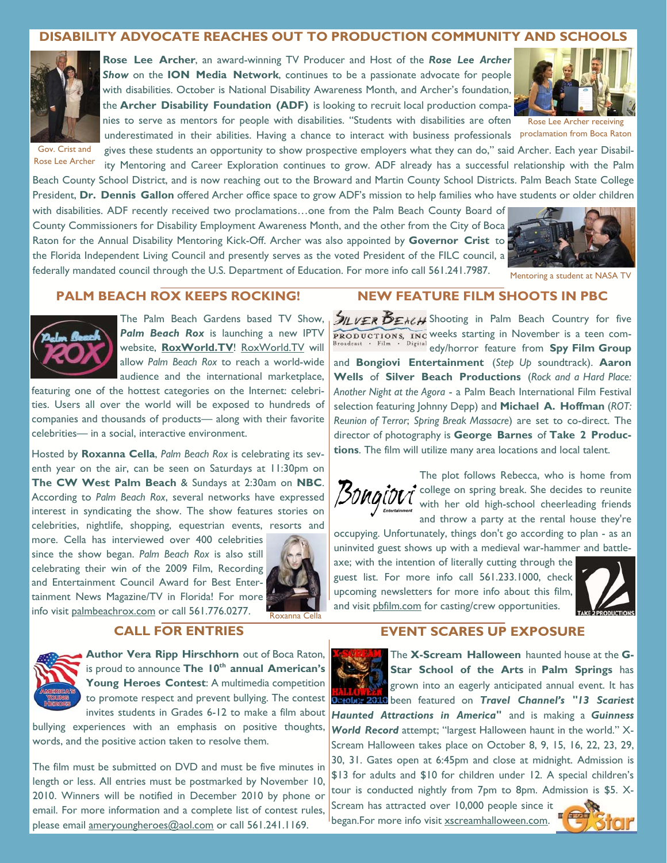### **DISABILITY ADVOCATE REACHES OUT TO PRODUCTION COMMUNITY AND SCHOOLS**



**Rose Lee Archer**, an award-winning TV Producer and Host of the *Rose Lee Archer Show* on the **ION Media Network**, continues to be a passionate advocate for people with disabilities. October is National Disability Awareness Month, and Archer's foundation, the **Archer Disability Foundation (ADF)** is looking to recruit local production companies to serve as mentors for people with disabilities. "Students with disabilities are often underestimated in their abilities. Having a chance to interact with business professionals proclamation from Boca Raton



Rose Lee Archer receiving

gives these students an opportunity to show prospective employers what they can do," said Archer. Each year Disability Mentoring and Career Exploration continues to grow. ADF already has a successful relationship with the Palm Beach County School District, and is now reaching out to the Broward and Martin County School Districts. Palm Beach State College President, **Dr. Dennis Gallon** offered Archer office space to grow ADF's mission to help families who have students or older children Gov. Crist and Rose Lee Archer

with disabilities. ADF recently received two proclamations…one from the Palm Beach County Board of County Commissioners for Disability Employment Awareness Month, and the other from the City of Boca Raton for the Annual Disability Mentoring Kick-Off. Archer was also appointed by **Governor Crist** to the Florida Independent Living Council and presently serves as the voted President of the FILC council, a federally mandated council through the U.S. Department of Education. For more info call 561.241.7987.



Mentoring a student at NASA TV

# **PALM BEACH ROX KEEPS ROCKING!**



The Palm Beach Gardens based TV Show, **Palm Beach Rox** is launching a new IPTV website, **RoxWorld.TV**! RoxWorld.TV will allow *Palm Beach Rox* to reach a world-wide audience and the international marketplace,

featuring one of the hottest categories on the Internet: celebrities. Users all over the world will be exposed to hundreds of companies and thousands of products— along with their favorite celebrities— in a social, interactive environment.

Hosted by **Roxanna Cella**, *Palm Beach Rox* is celebrating its seventh year on the air, can be seen on Saturdays at 11:30pm on **The CW West Palm Beach** & Sundays at 2:30am on **NBC**. According to *Palm Beach Rox*, several networks have expressed interest in syndicating the show. The show features stories on celebrities, nightlife, shopping, equestrian events, resorts and

more. Cella has interviewed over 400 celebrities since the show began. *Palm Beach Rox* is also still celebrating their win of the 2009 Film, Recording and Entertainment Council Award for Best Entertainment News Magazine/TV in Florida! For more info visit palmbeachrox.com or call 561.776.0277. Roxanna Cella



# **CALL FOR ENTRIES**



**Author Vera Ripp Hirschhorn** out of Boca Raton, is proud to announce **The 10th annual American's**  Young Heroes Contest: A multimedia competition to promote respect and prevent bullying. The contest invites students in Grades 6-12 to make a film about

bullying experiences with an emphasis on positive thoughts, words, and the positive action taken to resolve them.

The film must be submitted on DVD and must be five minutes in length or less. All entries must be postmarked by November 10, 2010. Winners will be notified in December 2010 by phone or email. For more information and a complete list of contest rules, please email ameryoungheroes@aol.com or call 561.241.1169.

## **NEW FEATURE FILM SHOOTS IN PBC**

 $\mathcal{I}_{\mathcal{L}}$   $\mathcal{I}_{\mathcal{E}}$   $\mathcal{E}_{\mathcal{E}}$  Shooting in Palm Beach Country for five weeks starting in November is a teen comedy/horror feature from **Spy Film Group** and **Bongiovi Entertainment** (*Step Up* soundtrack). **Aaron Wells** of **Silver Beach Productions** (*Rock and a Hard Place: Another Night at the Agora* - a Palm Beach International Film Festival selection featuring Johnny Depp) and **Michael A. Hoffman** (*ROT: Reunion of Terror*; *Spring Break Massacre*) are set to co-direct. The director of photography is **George Barnes** of **Take 2 Productions**. The film will utilize many area locations and local talent.



The plot follows Rebecca, who is home from college on spring break. She decides to reunite with her old high-school cheerleading friends and throw a party at the rental house they're

occupying. Unfortunately, things don't go according to plan - as an uninvited guest shows up with a medieval war-hammer and battle-

axe; with the intention of literally cutting through the guest list. For more info call 561.233.1000, check upcoming newsletters for more info about this film, and visit pbfilm.com for casting/crew opportunities.



## **EVENT SCARES UP EXPOSURE**

The **X-Scream Halloween** haunted house at the **G-Star School of the Arts** in **Palm Springs** has grown into an eagerly anticipated annual event. It has **Derober 2010** been featured on *Travel Channel's "13 Scariest Haunted Attractions in America"* and is making a *Guinness World Record* attempt; "largest Halloween haunt in the world." X-Scream Halloween takes place on October 8, 9, 15, 16, 22, 23, 29, 30, 31. Gates open at 6:45pm and close at midnight. Admission is \$13 for adults and \$10 for children under 12. A special children's tour is conducted nightly from 7pm to 8pm. Admission is \$5. X-

Scream has attracted over 10,000 people since it began.For more info visit xscreamhalloween.com.